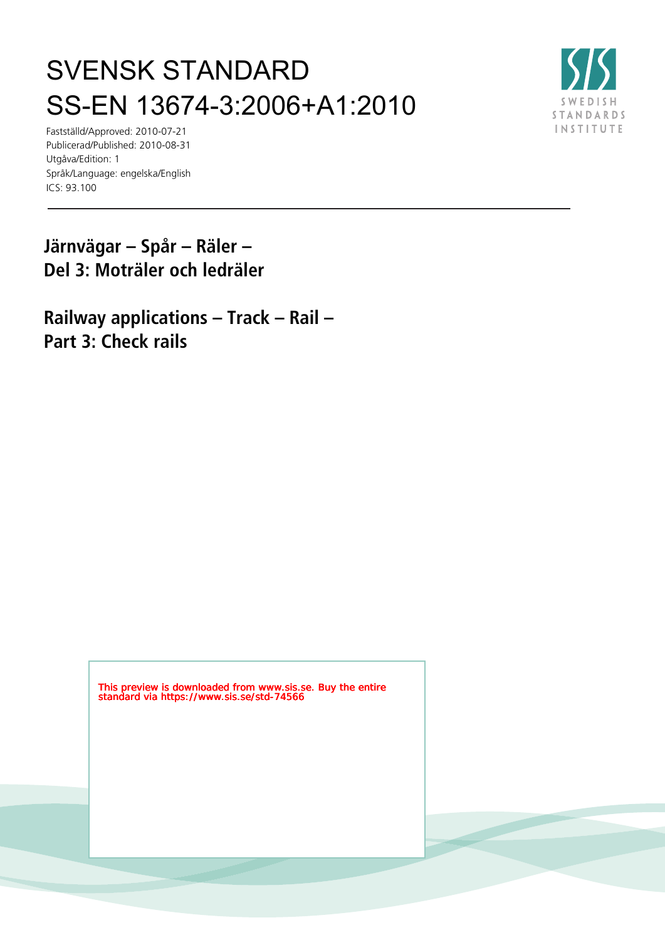# SVENSK STANDARD SS-EN 13674-3:2006+A1:2010



Fastställd/Approved: 2010-07-21 Publicerad/Published: 2010-08-31 Utgåva/Edition: 1 Språk/Language: engelska/English ICS: 93.100

**Järnvägar – Spår – Räler – Del 3: Moträler och ledräler**

**Railway applications – Track – Rail – Part 3: Check rails**

> This preview is downloaded from www.sis.se. Buy the entire standard via https://www.sis.se/std-74566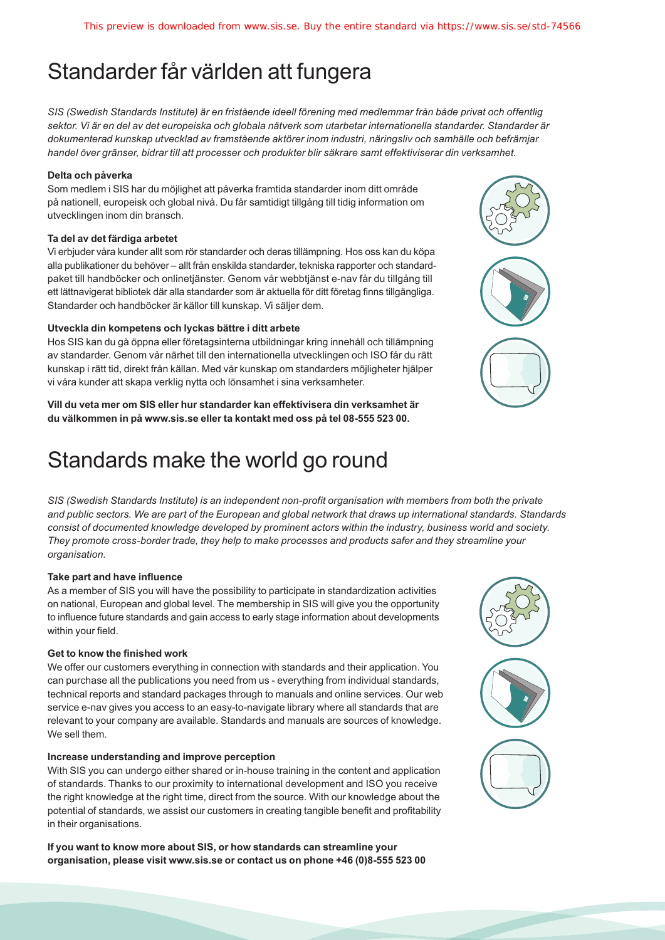## Standarder får världen att fungera

*SIS (Swedish Standards Institute) är en fristående ideell förening med medlemmar från både privat och offentlig sektor. Vi är en del av det europeiska och globala nätverk som utarbetar internationella standarder. Standarder är dokumenterad kunskap utvecklad av framstående aktörer inom industri, näringsliv och samhälle och befrämjar handel över gränser, bidrar till att processer och produkter blir säkrare samt effektiviserar din verksamhet.* 

#### **Delta och påverka**

Som medlem i SIS har du möjlighet att påverka framtida standarder inom ditt område på nationell, europeisk och global nivå. Du får samtidigt tillgång till tidig information om utvecklingen inom din bransch.

#### **Ta del av det färdiga arbetet**

Vi erbjuder våra kunder allt som rör standarder och deras tillämpning. Hos oss kan du köpa alla publikationer du behöver – allt från enskilda standarder, tekniska rapporter och standardpaket till handböcker och onlinetjänster. Genom vår webbtjänst e-nav får du tillgång till ett lättnavigerat bibliotek där alla standarder som är aktuella för ditt företag finns tillgängliga. Standarder och handböcker är källor till kunskap. Vi säljer dem.

#### **Utveckla din kompetens och lyckas bättre i ditt arbete**

Hos SIS kan du gå öppna eller företagsinterna utbildningar kring innehåll och tillämpning av standarder. Genom vår närhet till den internationella utvecklingen och ISO får du rätt kunskap i rätt tid, direkt från källan. Med vår kunskap om standarders möjligheter hjälper vi våra kunder att skapa verklig nytta och lönsamhet i sina verksamheter.

**Vill du veta mer om SIS eller hur standarder kan effektivisera din verksamhet är du välkommen in på www.sis.se eller ta kontakt med oss på tel 08-555 523 00.**

## Standards make the world go round

*SIS (Swedish Standards Institute) is an independent non-profit organisation with members from both the private and public sectors. We are part of the European and global network that draws up international standards. Standards consist of documented knowledge developed by prominent actors within the industry, business world and society. They promote cross-border trade, they help to make processes and products safer and they streamline your organisation.*

#### **Take part and have influence**

As a member of SIS you will have the possibility to participate in standardization activities on national, European and global level. The membership in SIS will give you the opportunity to influence future standards and gain access to early stage information about developments within your field.

#### **Get to know the finished work**

We offer our customers everything in connection with standards and their application. You can purchase all the publications you need from us - everything from individual standards, technical reports and standard packages through to manuals and online services. Our web service e-nav gives you access to an easy-to-navigate library where all standards that are relevant to your company are available. Standards and manuals are sources of knowledge. We sell them.

#### **Increase understanding and improve perception**

With SIS you can undergo either shared or in-house training in the content and application of standards. Thanks to our proximity to international development and ISO you receive the right knowledge at the right time, direct from the source. With our knowledge about the potential of standards, we assist our customers in creating tangible benefit and profitability in their organisations.

**If you want to know more about SIS, or how standards can streamline your organisation, please visit www.sis.se or contact us on phone +46 (0)8-555 523 00**



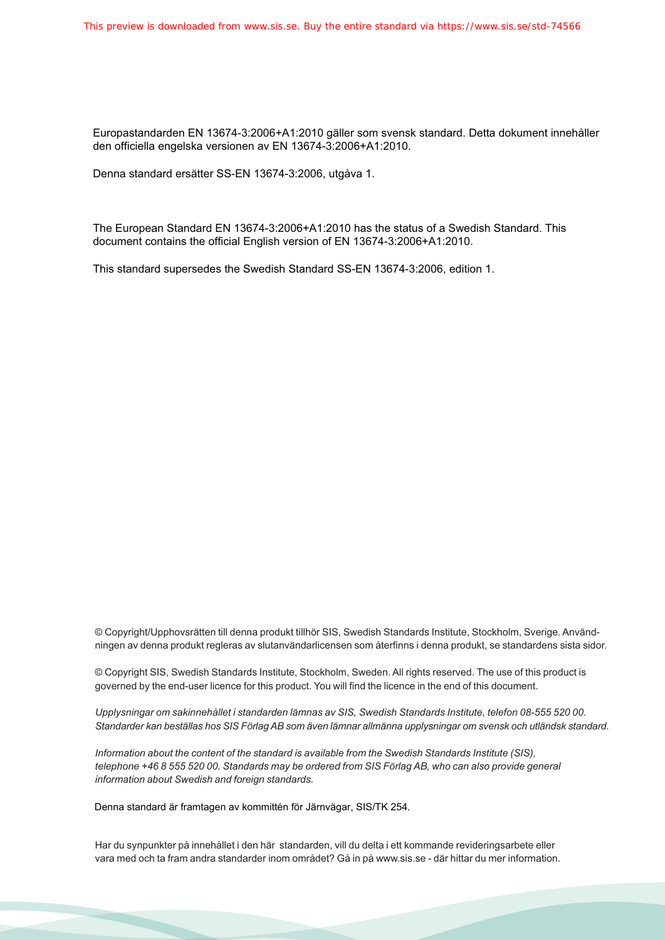Europastandarden EN 13674-3:2006+A1:2010 gäller som svensk standard. Detta dokument innehåller den officiella engelska versionen av EN 13674-3:2006+A1:2010.

Denna standard ersätter SS-EN 13674-3:2006, utgåva 1.

The European Standard EN 13674-3:2006+A1:2010 has the status of a Swedish Standard. This document contains the official English version of EN 13674-3:2006+A1:2010.

This standard supersedes the Swedish Standard SS-EN 13674-3:2006, edition 1.

© Copyright/Upphovsrätten till denna produkt tillhör SIS, Swedish Standards Institute, Stockholm, Sverige. Användningen av denna produkt regleras av slutanvändarlicensen som återfinns i denna produkt, se standardens sista sidor.

© Copyright SIS, Swedish Standards Institute, Stockholm, Sweden. All rights reserved. The use of this product is governed by the end-user licence for this product. You will find the licence in the end of this document.

*Upplysningar om sakinnehållet i standarden lämnas av SIS, Swedish Standards Institute, telefon 08-555 520 00. Standarder kan beställas hos SIS FörlagAB som även lämnar allmänna upplysningar om svensk och utländsk standard.*

*Information about the content of the standard is available from the Swedish Standards Institute (SIS), telephone +46 8 555 520 00. Standards may be ordered from SIS Förlag AB, who can also provide general information about Swedish and foreign standards.*

Denna standard är framtagen av kommittén för Järnvägar, SIS/TK 254.

Har du synpunkter på innehållet i den här standarden, vill du delta i ett kommande revideringsarbete eller vara med och ta fram andra standarder inom området? Gå in på www.sis.se - där hittar du mer information.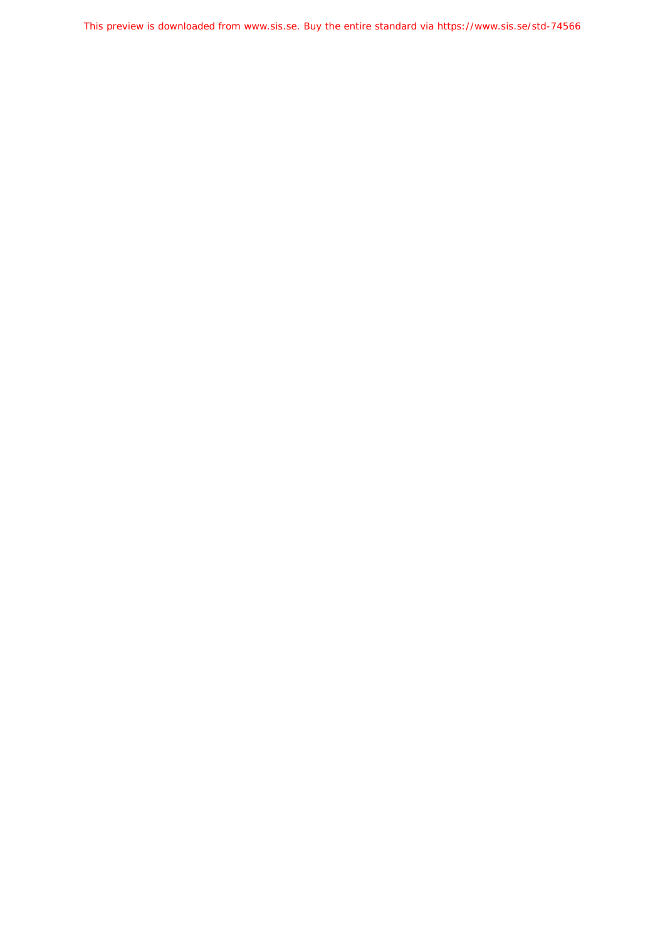This preview is downloaded from www.sis.se. Buy the entire standard via https://www.sis.se/std-74566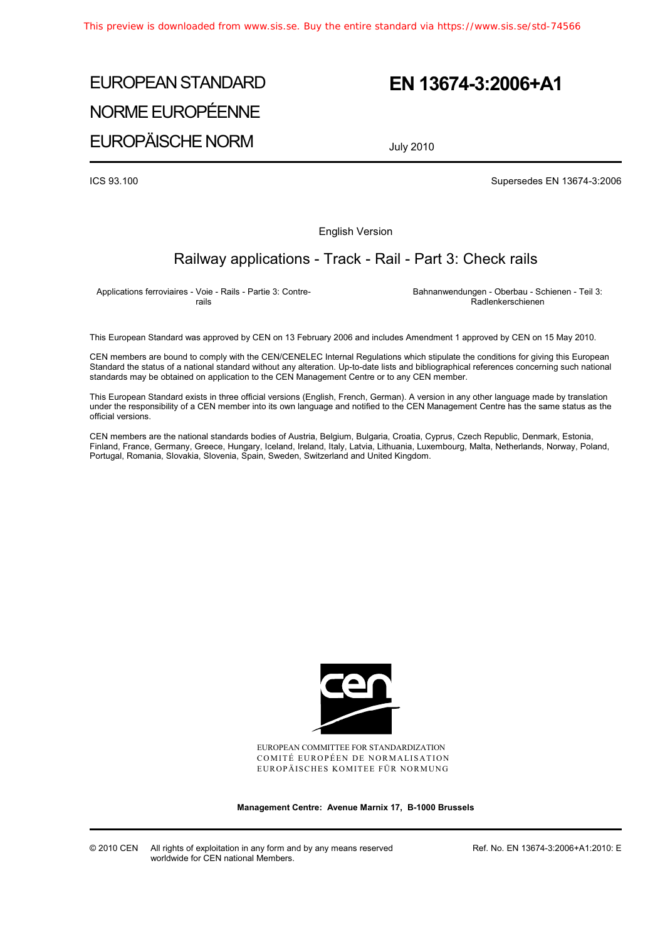## EUROPEANSTANDARD NORMEEUROPÉENNE EUROPÄISCHE NORM

### **EN 13674-3:2006+A1**

July 2010

ICS 93.100 Supersedes EN 13674-3:2006

English Version

### Railway applications - Track - Rail - Part 3: Check rails

Applications ferroviaires - Voie - Rails - Partie 3: Contrerails

Bahnanwendungen - Oberbau - Schienen - Teil 3: Radlenkerschienen

This European Standard was approved by CEN on 13 February 2006 and includes Amendment 1 approved by CEN on 15 May 2010.

CEN members are bound to comply with the CEN/CENELEC Internal Regulations which stipulate the conditions for giving this European Standard the status of a national standard without any alteration. Up-to-date lists and bibliographical references concerning such national standards may be obtained on application to the CEN Management Centre or to any CEN member.

This European Standard exists in three official versions (English, French, German). A version in any other language made by translation under the responsibility of a CEN member into its own language and notified to the CEN Management Centre has the same status as the official versions.

CEN members are the national standards bodies of Austria, Belgium, Bulgaria, Croatia, Cyprus, Czech Republic, Denmark, Estonia, Finland, France, Germany, Greece, Hungary, Iceland, Ireland, Italy, Latvia, Lithuania, Luxembourg, Malta, Netherlands, Norway, Poland, Portugal, Romania, Slovakia, Slovenia, Spain, Sweden, Switzerland and United Kingdom.



EUROPEAN COMMITTEE FOR STANDARDIZATION COMITÉ EUROPÉEN DE NORMALISATION EUROPÄISCHES KOMITEE FÜR NORMUNG

**Management Centre: Avenue Marnix 17, B-1000 Brussels**

© 2010 CEN All rights of exploitation in any form and by any means reserved worldwide for CEN national Members.

Ref. No. EN 13674-3:2006+A1:2010: E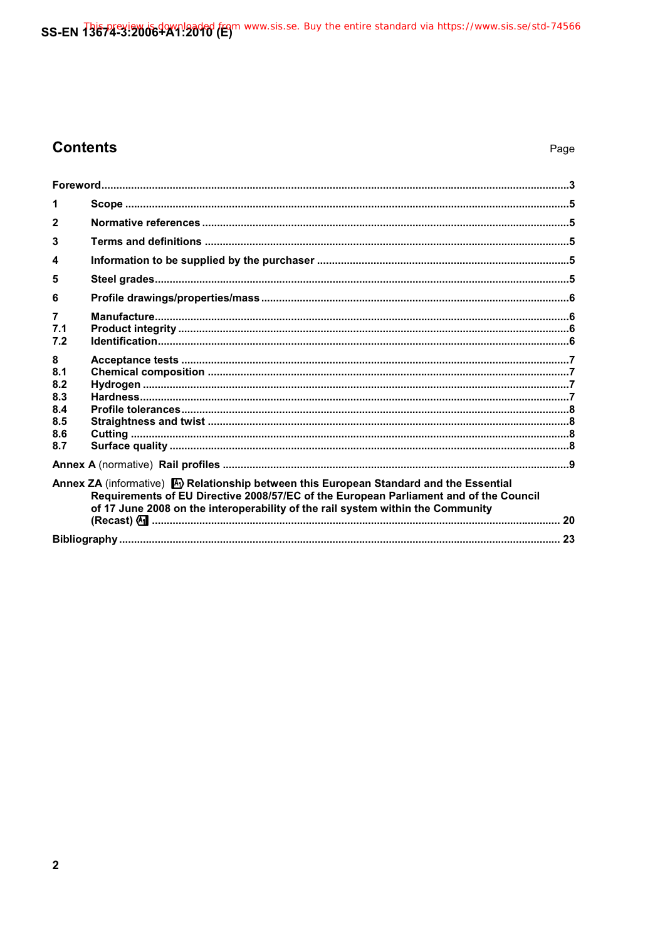SS-EN 13674-3:20064AY:2010 (E) www.sis.se. Buy the entire standard via https://www.sis.se/std-74566

### **Contents**

| $\overline{2}$                              |                                                                                                                                                                                                                                                                                   |  |
|---------------------------------------------|-----------------------------------------------------------------------------------------------------------------------------------------------------------------------------------------------------------------------------------------------------------------------------------|--|
| 3                                           |                                                                                                                                                                                                                                                                                   |  |
| 4                                           |                                                                                                                                                                                                                                                                                   |  |
| 5                                           |                                                                                                                                                                                                                                                                                   |  |
| 6                                           |                                                                                                                                                                                                                                                                                   |  |
| 7<br>7.1<br>7.2                             |                                                                                                                                                                                                                                                                                   |  |
| 8<br>8.1<br>8.2<br>8.3<br>8.4<br>8.5<br>8.6 |                                                                                                                                                                                                                                                                                   |  |
| 8.7                                         |                                                                                                                                                                                                                                                                                   |  |
|                                             |                                                                                                                                                                                                                                                                                   |  |
|                                             | Annex ZA (informative) $\mathbb{F}_2$ ) Relationship between this European Standard and the Essential<br>Requirements of EU Directive 2008/57/EC of the European Parliament and of the Council<br>of 17 June 2008 on the interoperability of the rail system within the Community |  |
|                                             |                                                                                                                                                                                                                                                                                   |  |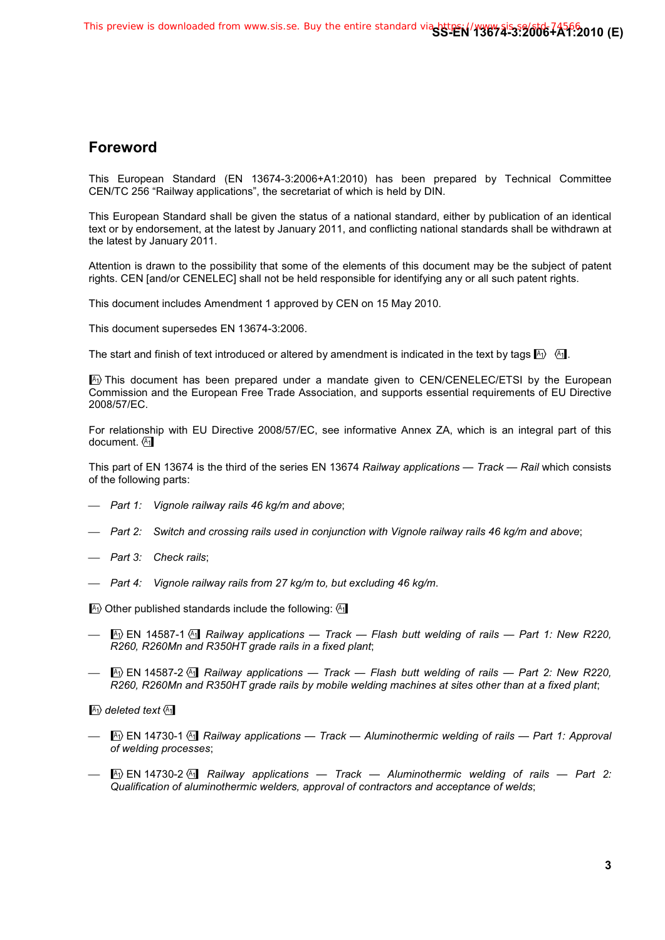**EN 13674-3:2006+A1:2010 (E)**

### **Foreword**

This European Standard (EN 13674-3:2006+A1:2010) has been prepared by Technical Committee CEN/TC 256 "Railway applications", the secretariat of which is held by DIN.

This European Standard shall be given the status of a national standard, either by publication of an identical text or by endorsement, at the latest by January 2011, and conflicting national standards shall be withdrawn at the latest by January 2011.

Attention is drawn to the possibility that some of the elements of this document may be the subject of patent rights. CEN [and/or CENELEC] shall not be held responsible for identifying any or all such patent rights.

This document includes Amendment 1 approved by CEN on 15 May 2010.

This document supersedes EN 13674-3:2006.

The start and finish of text introduced or altered by amendment is indicated in the text by tags  $\mathbb{F}_1$ )  $\mathbb{F}_2$ 

 $\mathbb{A}_0$  This document has been prepared under a mandate given to CEN/CENELEC/ETSI by the European Commission and the European Free Trade Association, and supports essential requirements of EU Directive 2008/57/EC.

For relationship with EU Directive 2008/57/EC, see informative Annex ZA, which is an integral part of this document.  $A_1$ 

This part of EN 13674 is the third of the series EN 13674 *Railway applications — Track — Rail* which consists of the following parts:

- *Part 1: Vignole railway rails 46 kg/m and above*;
- *Part 2: Switch and crossing rails used in conjunction with Vignole railway rails 46 kg/m and above*;
- *Part 3: Check rails*;
- *Part 4: Vignole railway rails from 27 kg/m to, but excluding 46 kg/m*.

 $\mathbb{A}_1$ ) Other published standards include the following:  $\mathbb{A}_1$ 

- !EN 14587-1" *Railway applications — Track — Flash butt welding of rails — Part 1: New R220, R260, R260Mn and R350HT grade rails in a fixed plant*;
- !EN 14587-2" *Railway applications — Track — Flash butt welding of rails — Part 2: New R220,* R260, R260Mn and R350HT grade rails by mobile welding machines at sites other than at a fixed plant;

 $\overline{A_1}$ *deleted text*  $\overline{A_1}$ 

- !EN 14730-1" *Railway applications — Track — Aluminothermic welding of rails — Part 1: Approval of welding processes*;
- !EN 14730-2" *Railway applications — Track — Aluminothermic welding of rails — Part 2: Qualification of aluminothermic welders, approval of contractors and acceptance of welds*;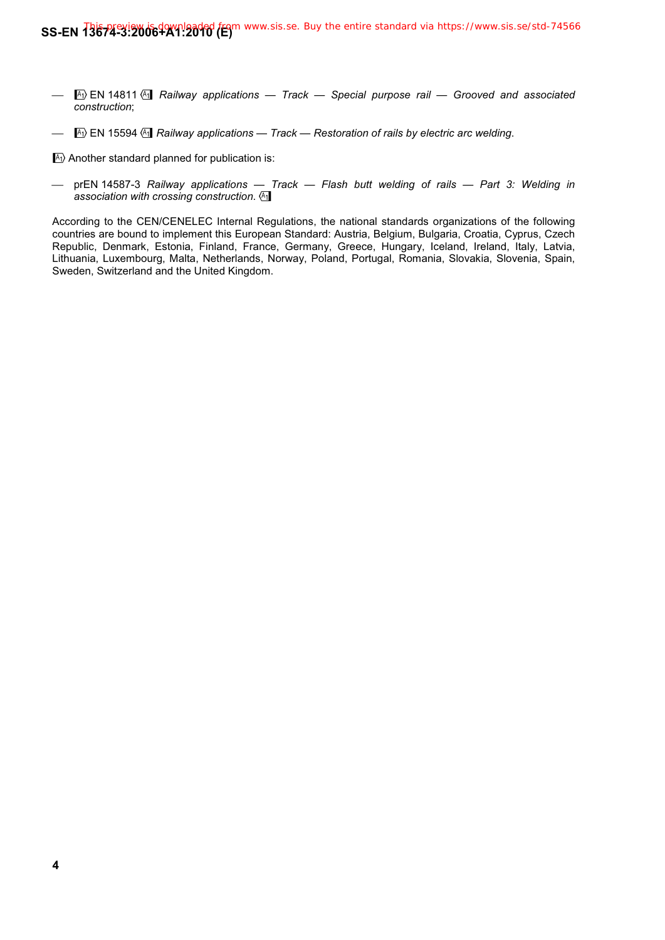- !EN 14811" *Railway applications — Track — Special purpose rail — Grooved and associated construction*;
- !EN 15594" *Railway applications — Track — Restoration of rails by electric arc welding*.

 $\mathbb{A}$  Another standard planned for publication is:

 prEN 14587-3 *Railway applications — Track — Flash butt welding of rails — Part 3: Welding in* **association with crossing construction.**  $4\frac{1}{2}$ 

According to the CEN/CENELEC Internal Regulations, the national standards organizations of the following countries are bound to implement this European Standard: Austria, Belgium, Bulgaria, Croatia, Cyprus, Czech Republic, Denmark, Estonia, Finland, France, Germany, Greece, Hungary, Iceland, Ireland, Italy, Latvia, Lithuania, Luxembourg, Malta, Netherlands, Norway, Poland, Portugal, Romania, Slovakia, Slovenia, Spain, Sweden, Switzerland and the United Kingdom.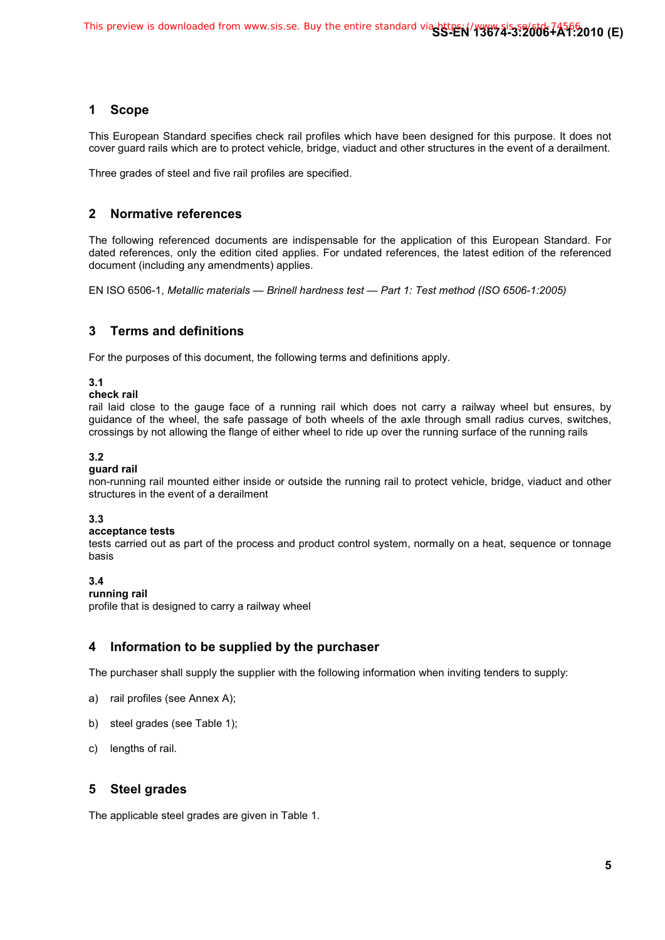**EN 13674-3:2006+A1:2010 (E)**

#### **1 Scope**

This European Standard specifies check rail profiles which have been designed for this purpose. It does not cover guard rails which are to protect vehicle, bridge, viaduct and other structures in the event of a derailment.

Three grades of steel and five rail profiles are specified.

#### **2 Normative references**

The following referenced documents are indispensable for the application of this European Standard. For dated references, only the edition cited applies. For undated references, the latest edition of the referenced document (including any amendments) applies.

EN ISO 6506-1, *Metallic materials — Brinell hardness test — Part 1: Test method (ISO 6506-1:2005)*

#### **3 Terms and definitions**

For the purposes of this document, the following terms and definitions apply.

#### **3.1**

#### **check rail**

rail laid close to the gauge face of a running rail which does not carry a railway wheel but ensures, by guidance of the wheel, the safe passage of both wheels of the axle through small radius curves, switches, crossings by not allowing the flange of either wheel to ride up over the running surface of the running rails

#### **3.2**

#### **guard rail**

non-running rail mounted either inside or outside the running rail to protect vehicle, bridge, viaduct and other structures in the event of a derailment

#### **3.3**

#### **acceptance tests**

tests carried out as part of the process and product control system, normally on a heat, sequence or tonnage basis

#### **3.4**

#### **running rail**

profile that is designed to carry a railway wheel

#### **4 Information to be supplied by the purchaser**

The purchaser shall supply the supplier with the following information when inviting tenders to supply:

- a) rail profiles (see Annex A);
- b) steel grades (see Table 1);
- c) lengths of rail.

#### **5 Steel grades**

The applicable steel grades are given in Table 1.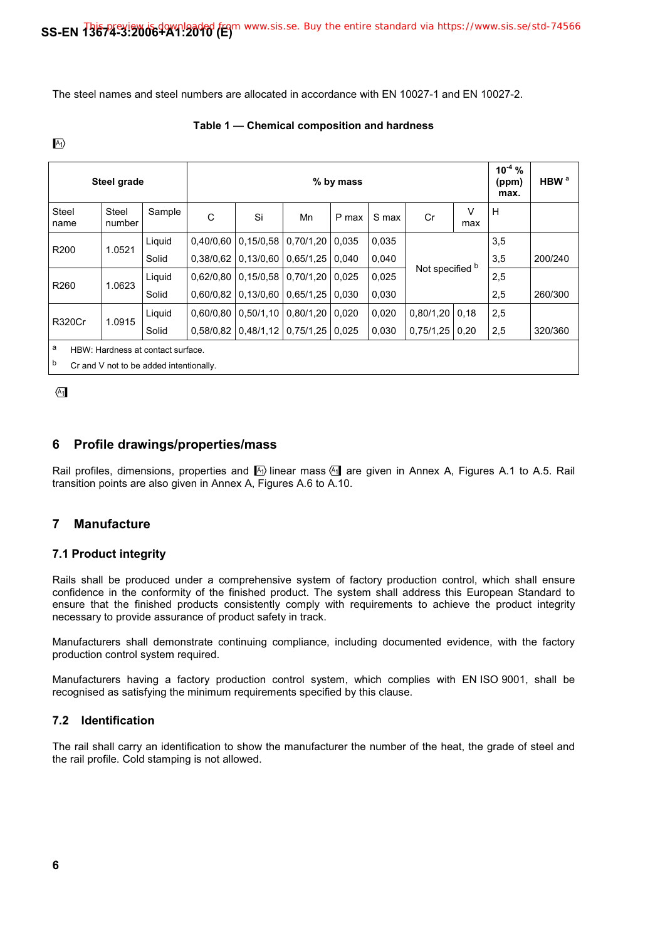The steel names and steel numbers are allocated in accordance with EN 10027-1 and EN 10027-2.

#### **Table 1 — Chemical composition and hardness**

#### $A_1$

| Steel grade                                  |                        |        | % by mass |           |                       |       |       |                 | $10^{-4}$ %<br>(ppm)<br>max. | HBW <sup>a</sup> |         |
|----------------------------------------------|------------------------|--------|-----------|-----------|-----------------------|-------|-------|-----------------|------------------------------|------------------|---------|
| <b>Steel</b><br>name                         | <b>Steel</b><br>number | Sample | C         | Si        | Mn                    | P max | S max | Cr              | v<br>max                     | н                |         |
| R <sub>200</sub>                             | 1.0521                 | Liquid | 0,40/0,60 | 0,15/0,58 | 0,70/1,20             | 0,035 | 0,035 |                 |                              | 3,5              |         |
|                                              |                        | Solid  | 0.38/0.62 | 0,13/0,60 | 0,65/1,25             | 0.040 | 0,040 |                 |                              | 3,5              | 200/240 |
| R <sub>260</sub>                             | 1.0623                 | Liquid | 0.62/0.80 | 0,15/0,58 | 0,70/1,20             | 0,025 | 0,025 | Not specified b |                              | 2,5              |         |
|                                              |                        | Solid  | 0.60/0.82 | 0,13/0,60 | 0,65/1,25             | 0.030 | 0,030 |                 |                              | 2,5              | 260/300 |
|                                              | 1.0915                 | Liquid | 0.60/0.80 | 0,50/1,10 | 0.80/1.20             | 0,020 | 0,020 | 0,80/1,20       | 0.18                         | 2,5              |         |
| <b>R320Cr</b>                                |                        | Solid  | 0.58/0.82 |           | $0,48/1,12$ 0.75/1.25 | 0,025 | 0,030 | 0,75/1,25       | 0.20                         | 2,5              | 320/360 |
| a<br>HBW: Hardness at contact surface.       |                        |        |           |           |                       |       |       |                 |                              |                  |         |
| b<br>Cr and V not to be added intentionally. |                        |        |           |           |                       |       |       |                 |                              |                  |         |

 $(A<sub>1</sub>)$ 

#### **6 Profile drawings/properties/mass**

Rail profiles, dimensions, properties and  $\overline{A_1}$  linear mass  $\overline{A_1}$  are given in Annex A, Figures A.1 to A.5. Rail transition points are also given in Annex A, Figures A.6 to A.10.

#### **7 Manufacture**

#### **7.1 Product integrity**

Rails shall be produced under a comprehensive system of factory production control, which shall ensure confidence in the conformity of the finished product. The system shall address this European Standard to ensure that the finished products consistently comply with requirements to achieve the product integrity necessary to provide assurance of product safety in track.

Manufacturers shall demonstrate continuing compliance, including documented evidence, with the factory production control system required.

Manufacturers having a factory production control system, which complies with EN ISO 9001, shall be recognised as satisfying the minimum requirements specified by this clause.

#### **7.2 Identification**

The rail shall carry an identification to show the manufacturer the number of the heat, the grade of steel and the rail profile. Cold stamping is not allowed.